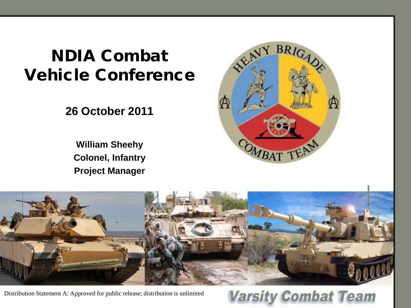# NDIA Combat Vehicle Conference

**26 October 2011** 

**William Sheehy Colonel, Infantry Project Manager** 





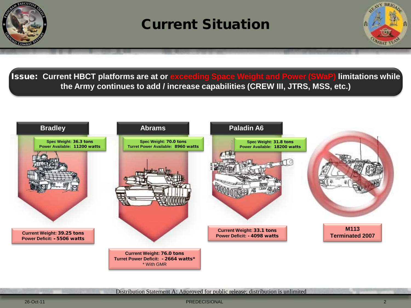

## Current Situation



Issue: **Current HBCT platforms are at or exceeding Space Weight and Power (SWaP) limitations while the Army continues to add / increase capabilities (CREW III, JTRS, MSS, etc.)**



Distribution Statement A: Approved for public release; distribution is unlimited

26-Oct-11 PREDECISIONAL 2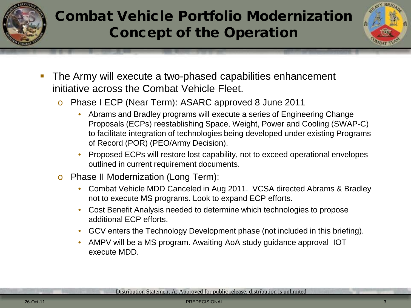

# Combat Vehicle Portfolio Modernization Concept of the Operation



- The Army will execute a two-phased capabilities enhancement initiative across the Combat Vehicle Fleet.
	- o Phase I ECP (Near Term): ASARC approved 8 June 2011
		- Abrams and Bradley programs will execute a series of Engineering Change Proposals (ECPs) reestablishing Space, Weight, Power and Cooling (SWAP-C) to facilitate integration of technologies being developed under existing Programs of Record (POR) (PEO/Army Decision).
		- Proposed ECPs will restore lost capability, not to exceed operational envelopes outlined in current requirement documents.
	- o Phase II Modernization (Long Term):
		- Combat Vehicle MDD Canceled in Aug 2011. VCSA directed Abrams & Bradley not to execute MS programs. Look to expand ECP efforts.
		- Cost Benefit Analysis needed to determine which technologies to propose additional ECP efforts.
		- GCV enters the Technology Development phase (not included in this briefing).
		- AMPV will be a MS program. Awaiting AoA study guidance approval IOT execute MDD.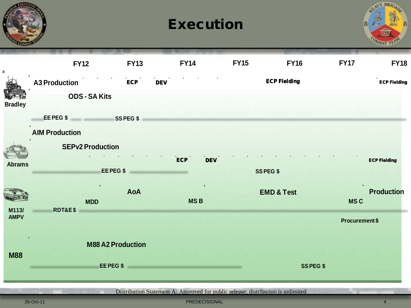|                      |                         |                          |                | <b>Execution</b>                                                                 |                       |                                 |
|----------------------|-------------------------|--------------------------|----------------|----------------------------------------------------------------------------------|-----------------------|---------------------------------|
| $\blacksquare$       | <b>FY12</b>             | <b>FY13</b>              | <b>FY14</b>    | <b>FY15</b>                                                                      | <b>FY16</b>           | <b>FY17</b><br><b>FY18</b>      |
|                      | <b>A3 Production</b>    | ECP                      | <b>DEV</b>     |                                                                                  | <b>ECP Fielding</b>   | <b>ECP Fielding</b>             |
| <b>Bradley</b>       | <b>ODS - SA Kits</b>    |                          |                |                                                                                  |                       |                                 |
|                      | EEPEG\$ SSPEG\$         |                          |                |                                                                                  |                       |                                 |
|                      | <b>AIM Production</b>   |                          |                |                                                                                  |                       |                                 |
|                      | <b>SEPv2 Production</b> |                          | $\mathsf{ECP}$ | <b>DEV</b>                                                                       |                       | <b>ECP Fielding</b>             |
| <b>Abrams</b>        |                         | EE PEG \$                |                |                                                                                  | <b>SSPEG \$</b>       |                                 |
|                      | <b>MDD</b>              | <b>AoA</b>               | <b>MSB</b>     |                                                                                  | <b>EMD &amp; Test</b> | <b>Production</b><br><b>MSC</b> |
| M113/<br><b>AMPV</b> | <b>RDT&amp;E\$</b>      |                          |                |                                                                                  |                       | <b>Procurement \$</b>           |
|                      |                         | <b>M88 A2 Production</b> |                |                                                                                  |                       |                                 |
| <b>M88</b>           |                         | EE PEG \$                |                |                                                                                  | <b>SSPEG\$</b>        |                                 |
|                      |                         |                          |                | Distribution Statement A: Approved for public release; distribution is unlimited |                       |                                 |

**ANGEL** 

26-Oct-11 PREDECISIONAL 4

 $N$  RR  $n$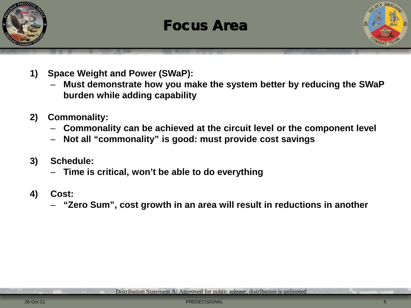

## Focus Area



- **1) Space Weight and Power (SWaP):**
	- **Must demonstrate how you make the system better by reducing the SWaP burden while adding capability**
- **2) Commonality:**
	- **Commonality can be achieved at the circuit level or the component level**
	- **Not all "commonality" is good: must provide cost savings**
- **3) Schedule:**
	- **Time is critical, won't be able to do everything**
- **4) Cost:** 
	- **"Zero Sum", cost growth in an area will result in reductions in another**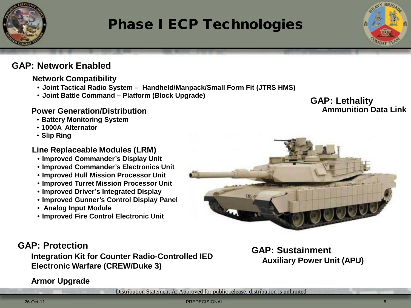

# Phase I ECP Technologies

#### **GAP: Network Enabled**

#### **Network Compatibility**

- **Joint Tactical Radio System Handheld/Manpack/Small Form Fit (JTRS HMS)**
- **Joint Battle Command – Platform (Block Upgrade)**

#### **Power Generation/Distribution**

- **Battery Monitoring System**
- **1000A Alternator**
- **Slip Ring**

#### **Line Replaceable Modules (LRM)**

- **Improved Commander's Display Unit**
- **Improved Commander's Electronics Unit**
- **Improved Hull Mission Processor Unit**
- **Improved Turret Mission Processor Unit**
- **Improved Driver's Integrated Display**
- **Improved Gunner's Control Display Panel**
- **Analog Input Module**
- **Improved Fire Control Electronic Unit**

#### **GAP: Lethality Ammunition Data Link**



**Auxiliary Power Unit (APU)**

#### **GAP: Protection**

## **GAP: Sustainment Integration Kit for Counter Radio-Controlled IED Electronic Warfare (CREW/Duke 3)**

#### **Armor Upgrade**

Distribution Statement A: Approved for public release; distribution is unlimited

26-Oct-11 PREDECISIONAL 6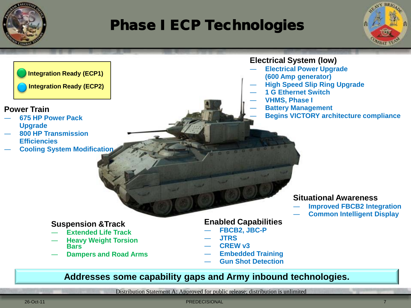

# Phase I ECP Technologies

֦





#### **Power Train**

- ― **675 HP Power Pack Upgrade**
- ― **800 HP Transmission Efficiencies**
- ― **Cooling System Modification**

#### **Electrical System (low)**

- ― **Electrical Power Upgrade (600 Amp generator)**
- ― **High Speed Slip Ring Upgrade**
- ― **1 G Ethernet Switch**
- ― **VHMS, Phase I**
	- ― **Battery Management**
	- ― **Begins VICTORY architecture compliance**

#### **Situational Awareness**

- ― **Improved FBCB2 Integration**
- ― **Common Intelligent Display**

#### **Suspension &Track**

- ― **Extended Life Track**
- ― **Heavy Weight Torsion Bars**
- ― **Dampers and Road Arms**

#### **Enabled Capabilities**

- ― **FBCB2, JBC-P**
- ― **JTRS**
- ― **CREW v3**
- ― **Embedded Training**
- ― **Gun Shot Detection**

#### **Addresses some capability gaps and Army inbound technologies.**

Distribution Statement A: Approved for public release; distribution is unlimited

26-Oct-11 PREDECISIONAL PREDECISIONAL PREDECISIONAL PREDECISIONAL PREDECISIONAL PREDECISIONAL PREDECISIONAL PREDECISIONAL PREDECISIONAL PREDECISIONAL PREDECISIONAL PREDECISIONAL PREDECISIONAL PREDECISIONAL PREDECISIONAL PR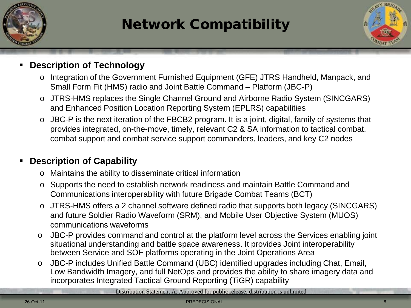

# Network Compatibility



#### **Description of Technology**

- o Integration of the Government Furnished Equipment (GFE) JTRS Handheld, Manpack, and Small Form Fit (HMS) radio and Joint Battle Command – Platform (JBC-P)
- o JTRS-HMS replaces the Single Channel Ground and Airborne Radio System (SINCGARS) and Enhanced Position Location Reporting System (EPLRS) capabilities
- o JBC-P is the next iteration of the FBCB2 program. It is a joint, digital, family of systems that provides integrated, on-the-move, timely, relevant C2 & SA information to tactical combat, combat support and combat service support commanders, leaders, and key C2 nodes

#### **Description of Capability**

- o Maintains the ability to disseminate critical information
- o Supports the need to establish network readiness and maintain Battle Command and Communications interoperability with future Brigade Combat Teams (BCT)
- o JTRS-HMS offers a 2 channel software defined radio that supports both legacy (SINCGARS) and future Soldier Radio Waveform (SRM), and Mobile User Objective System (MUOS) communications waveforms
- o JBC-P provides command and control at the platform level across the Services enabling joint situational understanding and battle space awareness. It provides Joint interoperability between Service and SOF platforms operating in the Joint Operations Area
- o JBC-P includes Unified Battle Command (UBC) identified upgrades including Chat, Email, Low Bandwidth Imagery, and full NetOps and provides the ability to share imagery data and incorporates Integrated Tactical Ground Reporting (TiGR) capability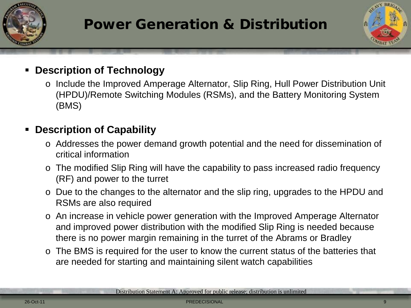

# Power Generation & Distribution



## **Description of Technology**

o Include the Improved Amperage Alternator, Slip Ring, Hull Power Distribution Unit (HPDU)/Remote Switching Modules (RSMs), and the Battery Monitoring System (BMS)

## **Description of Capability**

- o Addresses the power demand growth potential and the need for dissemination of critical information
- o The modified Slip Ring will have the capability to pass increased radio frequency (RF) and power to the turret
- o Due to the changes to the alternator and the slip ring, upgrades to the HPDU and RSMs are also required
- o An increase in vehicle power generation with the Improved Amperage Alternator and improved power distribution with the modified Slip Ring is needed because there is no power margin remaining in the turret of the Abrams or Bradley
- o The BMS is required for the user to know the current status of the batteries that are needed for starting and maintaining silent watch capabilities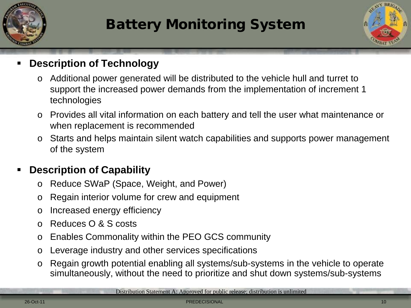

# Battery Monitoring System



## **Description of Technology**

- o Additional power generated will be distributed to the vehicle hull and turret to support the increased power demands from the implementation of increment 1 technologies
- o Provides all vital information on each battery and tell the user what maintenance or when replacement is recommended
- o Starts and helps maintain silent watch capabilities and supports power management of the system

## **Description of Capability**

- o Reduce SWaP (Space, Weight, and Power)
- o Regain interior volume for crew and equipment
- o Increased energy efficiency
- o Reduces O & S costs
- o Enables Commonality within the PEO GCS community
- o Leverage industry and other services specifications
- o Regain growth potential enabling all systems/sub-systems in the vehicle to operate simultaneously, without the need to prioritize and shut down systems/sub-systems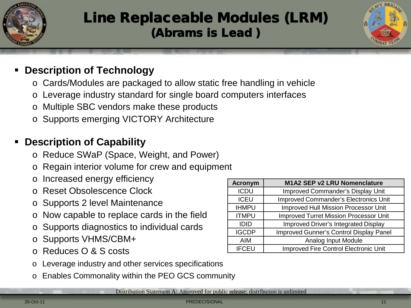

# Line Replaceable Modules (LRM) (Abrams is Lead )



## **Description of Technology**

- o Cards/Modules are packaged to allow static free handling in vehicle
- o Leverage industry standard for single board computers interfaces
- o Multiple SBC vendors make these products
- o Supports emerging VICTORY Architecture

## **Description of Capability**

- o Reduce SWaP (Space, Weight, and Power)
- o Regain interior volume for crew and equipment
- o Increased energy efficiency
- Reset Obsolescence Clock
- o Supports 2 level Maintenance
- o Now capable to replace cards in the field
- Supports diagnostics to individual cards
- o Supports VHMS/CBM+
- Reduces O & S costs
- Leverage industry and other services specifications
- o Enables Commonality within the PEO GCS community

| Distribution Statement A: Approved for public release; distribution is unlimited |
|----------------------------------------------------------------------------------|
|----------------------------------------------------------------------------------|

| <b>Acronym</b> | M1A2 SEP v2 LRU Nomenclature                  |
|----------------|-----------------------------------------------|
| <b>ICDU</b>    | Improved Commander's Display Unit             |
| <b>ICEU</b>    | <b>Improved Commander's Electronics Unit</b>  |
| <b>IHMPU</b>   | <b>Improved Hull Mission Processor Unit</b>   |
| <b>ITMPU</b>   | <b>Improved Turret Mission Processor Unit</b> |
| <b>IDID</b>    | <b>Improved Driver's Integrated Display</b>   |
| <b>IGCDP</b>   | Improved Gunner's Control Display Panel       |
| <b>AIM</b>     | Analog Input Module                           |
| <b>IFCEU</b>   | Improved Fire Control Electronic Unit         |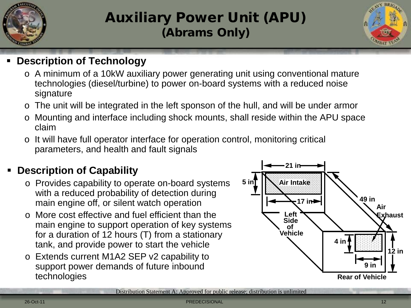

# Auxiliary Power Unit (APU) (Abrams Only)



### **Description of Technology**

- o A minimum of a 10kW auxiliary power generating unit using conventional mature technologies (diesel/turbine) to power on-board systems with a reduced noise signature
- o The unit will be integrated in the left sponson of the hull, and will be under armor
- o Mounting and interface including shock mounts, shall reside within the APU space claim
- o It will have full operator interface for operation control, monitoring critical parameters, and health and fault signals

## **Description of Capability**

- o Provides capability to operate on-board systems with a reduced probability of detection during main engine off, or silent watch operation
- o More cost effective and fuel efficient than the main engine to support operation of key systems for a duration of 12 hours (T) from a stationary tank, and provide power to start the vehicle
- o Extends current M1A2 SEP v2 capability to support power demands of future inbound technologies

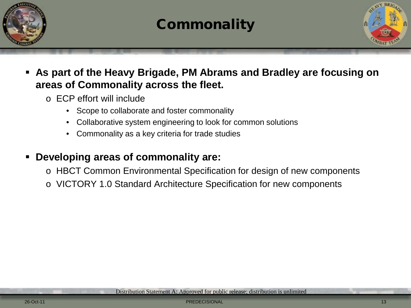

## **Commonality**



## **As part of the Heavy Brigade, PM Abrams and Bradley are focusing on areas of Commonality across the fleet.**

- o ECP effort will include
	- Scope to collaborate and foster commonality
	- Collaborative system engineering to look for common solutions
	- Commonality as a key criteria for trade studies

## **Developing areas of commonality are:**

- o HBCT Common Environmental Specification for design of new components
- o VICTORY 1.0 Standard Architecture Specification for new components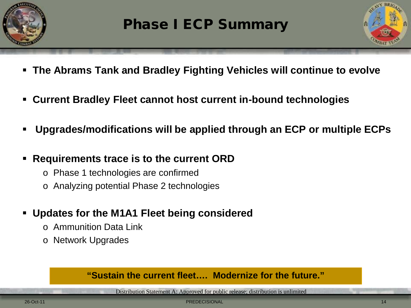



- **The Abrams Tank and Bradley Fighting Vehicles will continue to evolve**
- **Current Bradley Fleet cannot host current in-bound technologies**
- **Upgrades/modifications will be applied through an ECP or multiple ECPs**
- **Requirements trace is to the current ORD**
	- o Phase 1 technologies are confirmed
	- o Analyzing potential Phase 2 technologies
- **Updates for the M1A1 Fleet being considered**
	- o Ammunition Data Link
	- o Network Upgrades

## **"Sustain the current fleet…. Modernize for the future."**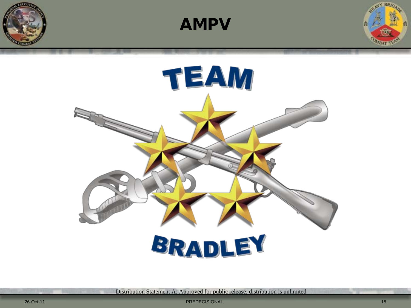





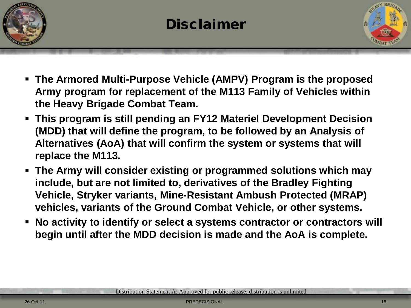



- **The Armored Multi-Purpose Vehicle (AMPV) Program is the proposed Army program for replacement of the M113 Family of Vehicles within the Heavy Brigade Combat Team.**
- **This program is still pending an FY12 Materiel Development Decision (MDD) that will define the program, to be followed by an Analysis of Alternatives (AoA) that will confirm the system or systems that will replace the M113.**
- **The Army will consider existing or programmed solutions which may include, but are not limited to, derivatives of the Bradley Fighting Vehicle, Stryker variants, Mine-Resistant Ambush Protected (MRAP) vehicles, variants of the Ground Combat Vehicle, or other systems.**
- **No activity to identify or select a systems contractor or contractors will begin until after the MDD decision is made and the AoA is complete.**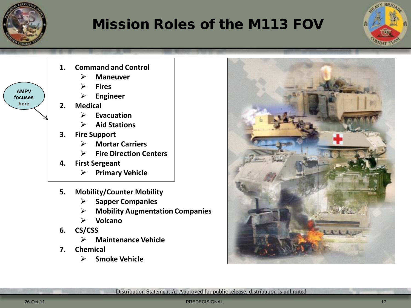

**here**

# Mission Roles of the M113 FOV





- **5. Mobility/Counter Mobility**
	- **Sapper Companies**
	- **Mobility Augmentation Companies**
	- **Volcano**
- **6. CS/CSS**
	- **Maintenance Vehicle**
- **7. Chemical**
	- **Smoke Vehicle**



Distribution Statement A: Approved for public release; distribution is unlimited

26-Oct-11 PREDECISIONAL 17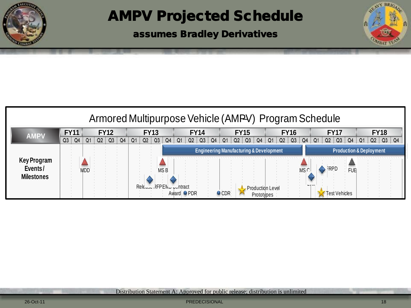

# AMPV Projected Schedule

assumes Bradley Derivatives

| Armored Multipurpose Vehicle (AMPV) Program Schedule |    |     |                |    |                |                |  |                |      |    |                          |    |                |                |                |                |                |                                                    |                  |                |      |    |             |                                    |                |                |                |                |    |    |
|------------------------------------------------------|----|-----|----------------|----|----------------|----------------|--|----------------|------|----|--------------------------|----|----------------|----------------|----------------|----------------|----------------|----------------------------------------------------|------------------|----------------|------|----|-------------|------------------------------------|----------------|----------------|----------------|----------------|----|----|
| <b>FY11</b><br><b>FY12</b><br><b>AMPV</b>            |    |     |                |    | <b>FY13</b>    |                |  | <b>FY14</b>    |      |    | <b>FY15</b>              |    |                |                | <b>FY16</b>    |                |                |                                                    | <b>FY17</b>      |                |      |    | <b>FY18</b> |                                    |                |                |                |                |    |    |
|                                                      | Q3 | Q4  | Q <sub>1</sub> | Q2 | Q <sub>3</sub> | Q <sub>4</sub> |  | Q <sub>2</sub> |      | Q4 | Q1                       | Q2 | Q <sub>3</sub> | Q <sub>4</sub> | Q <sub>1</sub> | Q <sub>2</sub> | Q <sub>3</sub> | Q <sub>4</sub>                                     |                  | Q <sub>2</sub> | Q3   | Q4 | Q1          | Q <sub>2</sub>                     | Q <sub>3</sub> | Q <sub>4</sub> | Q <sub>1</sub> | Q <sub>2</sub> | Q3 | Q4 |
| Key Program<br>Events/                               |    | MDL |                |    |                |                |  |                | MS B |    |                          |    |                |                |                |                |                | <b>Engineering Manufacturing &amp; Development</b> |                  |                | MS C |    | <b>RPD</b>  | <b>Production &amp; Deployment</b> |                |                |                |                |    |    |
| <b>Milestones</b>                                    |    |     |                |    |                |                |  |                |      |    | Release RFPENic contract |    |                |                |                |                |                |                                                    | Production Level |                |      |    | - 1 1 1     |                                    | rest Vehicles  |                |                |                |    |    |

Distribution Statement A: Approved for public release; distribution is unlimited

26-Oct-11 PREDECISIONAL 18

ENY BRIG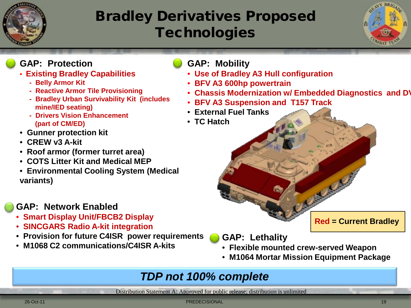

# Bradley Derivatives Proposed **Technologies**



#### **GAP: Protection**

- • **Existing Bradley Capabilities**
	- **Belly Armor Kit**
	- **Reactive Armor Tile Provisioning**
	- **Bradley Urban Survivability Kit (includes mine/IED seating)**
	- **Drivers Vision Enhancement (part of CM/ED)**
- • **Gunner protection kit**
- • **CREW v3 A-kit**
- • **Roof armor (former turret area)**
- • **COTS Litter Kit and Medical MEP**
- • **Environmental Cooling System (Medical variants)**

## **GAP: Network Enabled**

- • **Smart Display Unit/FBCB2 Display**
- • **SINCGARS Radio A-kit integration**
- • **Provision for future C4ISR power requirements**
- • **M1068 C2 communications/C4ISR A-kits**
- **GAP: Mobility**
	- • **Use of Bradley A3 Hull configuration**
- • **BFV A3 600hp powertrain**
- • **Chassis Modernization w/ Embedded Diagnostics and DV**
- • **BFV A3 Suspension and T157 Track**
- • **External Fuel Tanks**
- • **TC Hatch**

**Red = Current Bradley**

- **GAP: Lethality**
- • **Flexible mounted crew-served Weapon**
- • **M1064 Mortar Mission Equipment Package**

## *TDP not 100% complete*

Distribution Statement A: Approved for public release; distribution is unlimited

26-Oct-11 PREDECISIONAL 19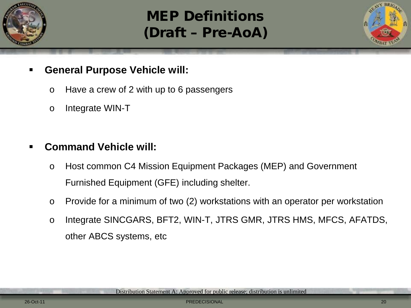

# MEP Definitions (Draft – Pre-AoA)



- **General Purpose Vehicle will:**
	- o Have a crew of 2 with up to 6 passengers
	- o Integrate WIN-T

## **Command Vehicle will:**

- o Host common C4 Mission Equipment Packages (MEP) and Government Furnished Equipment (GFE) including shelter.
- o Provide for a minimum of two (2) workstations with an operator per workstation
- o Integrate SINCGARS, BFT2, WIN-T, JTRS GMR, JTRS HMS, MFCS, AFATDS, other ABCS systems, etc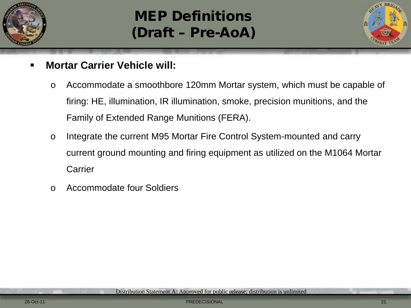

# MEP Definitions (Draft – Pre-AoA)



- **Mortar Carrier Vehicle will:**
	- o Accommodate a smoothbore 120mm Mortar system, which must be capable of firing: HE, illumination, IR illumination, smoke, precision munitions, and the Family of Extended Range Munitions (FERA).
	- o Integrate the current M95 Mortar Fire Control System-mounted and carry current ground mounting and firing equipment as utilized on the M1064 Mortar **Carrier**
	- o Accommodate four Soldiers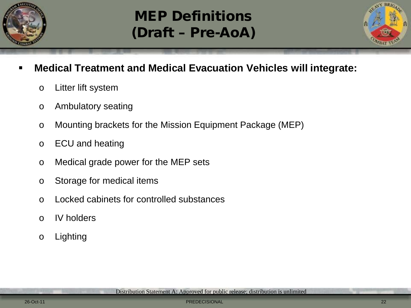

# MEP Definitions (Draft – Pre-AoA)



- **Medical Treatment and Medical Evacuation Vehicles will integrate:**
	- o Litter lift system
	- o Ambulatory seating
	- o Mounting brackets for the Mission Equipment Package (MEP)
	- o ECU and heating
	- o Medical grade power for the MEP sets
	- o Storage for medical items
	- o Locked cabinets for controlled substances
	- o IV holders
	- o Lighting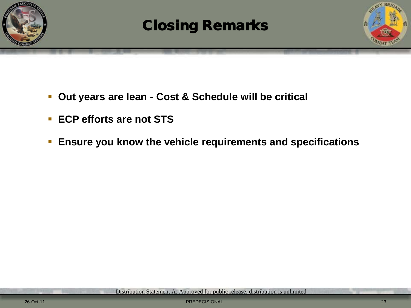

# Closing Remarks



- **Out years are lean - Cost & Schedule will be critical**
- **ECP efforts are not STS**
- **Ensure you know the vehicle requirements and specifications**